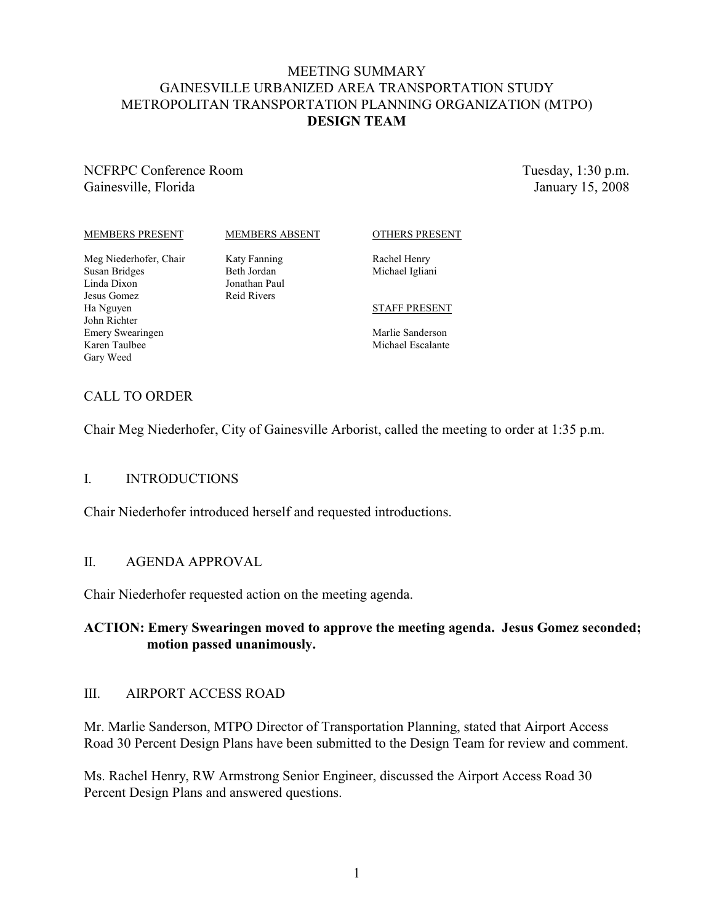### MEETING SUMMARY GAINESVILLE URBANIZED AREA TRANSPORTATION STUDY METROPOLITAN TRANSPORTATION PLANNING ORGANIZATION (MTPO) **DESIGN TEAM**

NCFRPC Conference Room Gainesville, Florida

Tuesday, 1:30 p.m. January 15, 2008

#### MEMBERS PRESENT

#### MEMBERS ABSENT

OTHERS PRESENT

Meg Niederhofer, Chair Susan Bridges Linda Dixon Jesus Gomez Ha Nguyen John Richter Emery Swearingen Karen Taulbee Gary Weed

Katy Fanning Beth Jordan Jonathan Paul Reid Rivers

#### Rachel Henry Michael Igliani

#### STAFF PRESENT

Marlie Sanderson Michael Escalante

### CALL TO ORDER

Chair Meg Niederhofer, City of Gainesville Arborist, called the meeting to order at 1:35 p.m.

### I. INTRODUCTIONS

Chair Niederhofer introduced herself and requested introductions.

### II. AGENDA APPROVAL

Chair Niederhofer requested action on the meeting agenda.

### **ACTION: Emery Swearingen moved to approve the meeting agenda. Jesus Gomez seconded; motion passed unanimously.**

#### III. AIRPORT ACCESS ROAD

Mr. Marlie Sanderson, MTPO Director of Transportation Planning, stated that Airport Access Road 30 Percent Design Plans have been submitted to the Design Team for review and comment.

Ms. Rachel Henry, RW Armstrong Senior Engineer, discussed the Airport Access Road 30 Percent Design Plans and answered questions.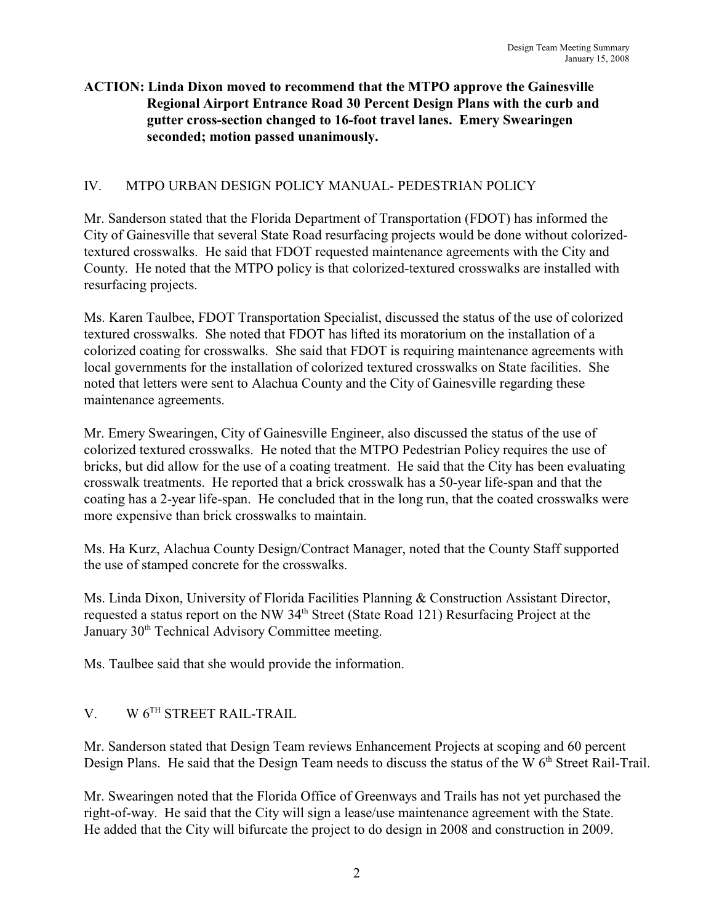### **ACTION: Linda Dixon moved to recommend that the MTPO approve the Gainesville Regional Airport Entrance Road 30 Percent Design Plans with the curb and gutter cross-section changed to 16-foot travel lanes. Emery Swearingen seconded; motion passed unanimously.**

## IV. MTPO URBAN DESIGN POLICY MANUAL- PEDESTRIAN POLICY

Mr. Sanderson stated that the Florida Department of Transportation (FDOT) has informed the City of Gainesville that several State Road resurfacing projects would be done without colorizedtextured crosswalks. He said that FDOT requested maintenance agreements with the City and County. He noted that the MTPO policy is that colorized-textured crosswalks are installed with resurfacing projects.

Ms. Karen Taulbee, FDOT Transportation Specialist, discussed the status of the use of colorized textured crosswalks. She noted that FDOT has lifted its moratorium on the installation of a colorized coating for crosswalks. She said that FDOT is requiring maintenance agreements with local governments for the installation of colorized textured crosswalks on State facilities. She noted that letters were sent to Alachua County and the City of Gainesville regarding these maintenance agreements.

Mr. Emery Swearingen, City of Gainesville Engineer, also discussed the status of the use of colorized textured crosswalks. He noted that the MTPO Pedestrian Policy requires the use of bricks, but did allow for the use of a coating treatment. He said that the City has been evaluating crosswalk treatments. He reported that a brick crosswalk has a 50-year life-span and that the coating has a 2-year life-span. He concluded that in the long run, that the coated crosswalks were more expensive than brick crosswalks to maintain.

Ms. Ha Kurz, Alachua County Design/Contract Manager, noted that the County Staff supported the use of stamped concrete for the crosswalks.

Ms. Linda Dixon, University of Florida Facilities Planning & Construction Assistant Director, requested a status report on the NW  $34<sup>th</sup>$  Street (State Road 121) Resurfacing Project at the January 30<sup>th</sup> Technical Advisory Committee meeting.

Ms. Taulbee said that she would provide the information.

# V. W  $6<sup>TH</sup>$  STREET RAIL-TRAIL

Mr. Sanderson stated that Design Team reviews Enhancement Projects at scoping and 60 percent Design Plans. He said that the Design Team needs to discuss the status of the W 6<sup>th</sup> Street Rail-Trail.

Mr. Swearingen noted that the Florida Office of Greenways and Trails has not yet purchased the right-of-way. He said that the City will sign a lease/use maintenance agreement with the State. He added that the City will bifurcate the project to do design in 2008 and construction in 2009.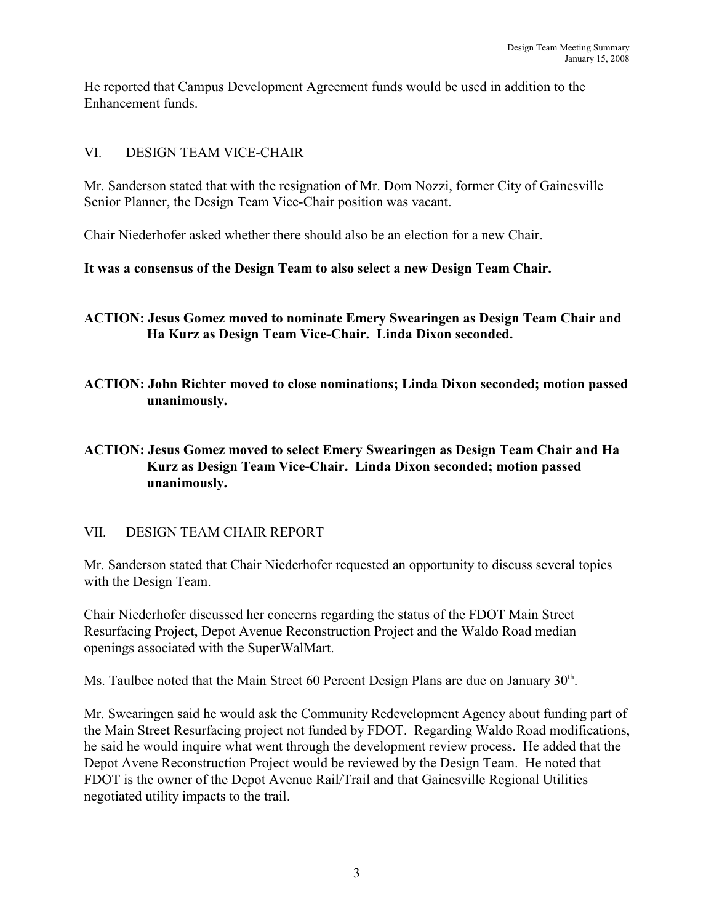He reported that Campus Development Agreement funds would be used in addition to the Enhancement funds.

### VI. DESIGN TEAM VICE-CHAIR

Mr. Sanderson stated that with the resignation of Mr. Dom Nozzi, former City of Gainesville Senior Planner, the Design Team Vice-Chair position was vacant.

Chair Niederhofer asked whether there should also be an election for a new Chair.

## **It was a consensus of the Design Team to also select a new Design Team Chair.**

**ACTION: Jesus Gomez moved to nominate Emery Swearingen as Design Team Chair and Ha Kurz as Design Team Vice-Chair. Linda Dixon seconded.**

**ACTION: John Richter moved to close nominations; Linda Dixon seconded; motion passed unanimously.**

## **ACTION: Jesus Gomez moved to select Emery Swearingen as Design Team Chair and Ha Kurz as Design Team Vice-Chair. Linda Dixon seconded; motion passed unanimously.**

## VII. DESIGN TEAM CHAIR REPORT

Mr. Sanderson stated that Chair Niederhofer requested an opportunity to discuss several topics with the Design Team.

Chair Niederhofer discussed her concerns regarding the status of the FDOT Main Street Resurfacing Project, Depot Avenue Reconstruction Project and the Waldo Road median openings associated with the SuperWalMart.

Ms. Taulbee noted that the Main Street 60 Percent Design Plans are due on January  $30<sup>th</sup>$ .

Mr. Swearingen said he would ask the Community Redevelopment Agency about funding part of the Main Street Resurfacing project not funded by FDOT. Regarding Waldo Road modifications, he said he would inquire what went through the development review process. He added that the Depot Avene Reconstruction Project would be reviewed by the Design Team. He noted that FDOT is the owner of the Depot Avenue Rail/Trail and that Gainesville Regional Utilities negotiated utility impacts to the trail.